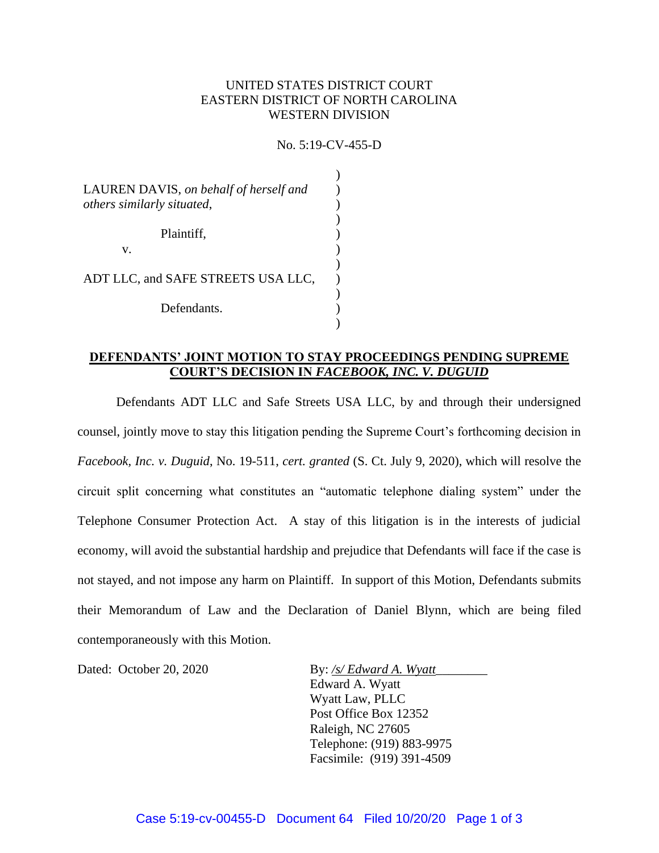# UNITED STATES DISTRICT COURT EASTERN DISTRICT OF NORTH CAROLINA WESTERN DIVISION

No. 5:19-CV-455-D

| LAUREN DAVIS, on behalf of herself and<br>others similarly situated, |  |
|----------------------------------------------------------------------|--|
| Plaintiff,<br>v.                                                     |  |
| ADT LLC, and SAFE STREETS USA LLC,                                   |  |
| Defendants.                                                          |  |
|                                                                      |  |

# **DEFENDANTS' JOINT MOTION TO STAY PROCEEDINGS PENDING SUPREME COURT'S DECISION IN** *FACEBOOK, INC. V. DUGUID*

Defendants ADT LLC and Safe Streets USA LLC, by and through their undersigned counsel, jointly move to stay this litigation pending the Supreme Court's forthcoming decision in *Facebook, Inc. v. Duguid*, No. 19-511, *cert. granted* (S. Ct. July 9, 2020), which will resolve the circuit split concerning what constitutes an "automatic telephone dialing system" under the Telephone Consumer Protection Act. A stay of this litigation is in the interests of judicial economy, will avoid the substantial hardship and prejudice that Defendants will face if the case is not stayed, and not impose any harm on Plaintiff. In support of this Motion, Defendants submits their Memorandum of Law and the Declaration of Daniel Blynn, which are being filed contemporaneously with this Motion.

Dated: October 20, 2020 By: */s/ Edward A. Wyatt\_\_\_\_\_\_\_\_\_\_\_\_\_\_\_\_\_\_\_\_\_\_\_\_\_\_\_\_\_\_\_\_\_* Edward A. Wyatt Wyatt Law, PLLC Post Office Box 12352 Raleigh, NC 27605 Telephone: (919) 883-9975 Facsimile: (919) 391-4509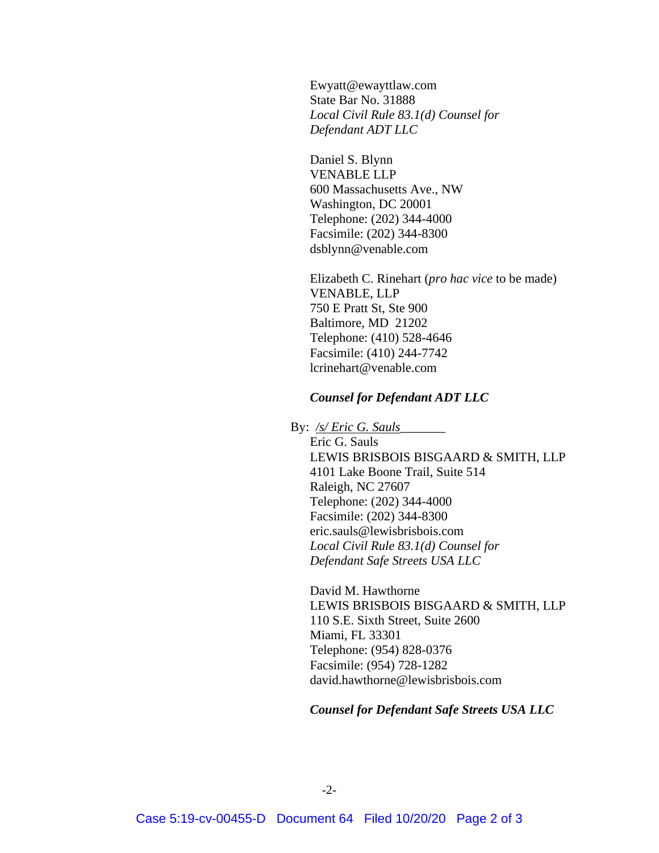Ewyatt@ewayttlaw.com State Bar No. 31888 *Local Civil Rule 83.1(d) Counsel for Defendant ADT LLC*

Daniel S. Blynn VENABLE LLP 600 Massachusetts Ave., NW Washington, DC 20001 Telephone: (202) 344-4000 Facsimile: (202) 344-8300 dsblynn@venable.com

Elizabeth C. Rinehart (*pro hac vice* to be made) VENABLE, LLP 750 E Pratt St, Ste 900 Baltimore, MD 21202 Telephone: (410) 528-4646 Facsimile: (410) 244-7742 lcrinehart@venable.com

### *Counsel for Defendant ADT LLC*

#### By: */s/ Eric G. Sauls*\_\_\_\_\_\_\_

Eric G. Sauls LEWIS BRISBOIS BISGAARD & SMITH, LLP 4101 Lake Boone Trail, Suite 514 Raleigh, NC 27607 Telephone: (202) 344-4000 Facsimile: (202) 344-8300 eric.sauls@lewisbrisbois.com *Local Civil Rule 83.1(d) Counsel for Defendant Safe Streets USA LLC*

David M. Hawthorne LEWIS BRISBOIS BISGAARD & SMITH, LLP 110 S.E. Sixth Street, Suite 2600 Miami, FL 33301 Telephone: (954) 828-0376 Facsimile: (954) 728-1282 david.hawthorne@lewisbrisbois.com

## *Counsel for Defendant Safe Streets USA LLC*